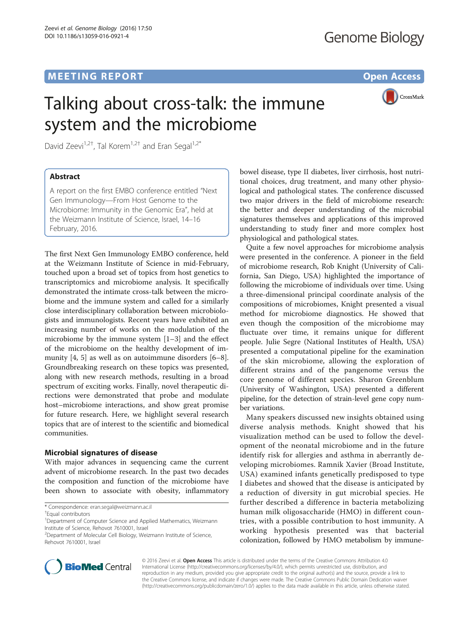## **MEETING REPORT CONSUMING A REPORT** AND CONSUMING A REPORT OF A SAMPLE AND CONSUMING A REPORT OF A REPORT OF A SA

CrossMark

# Talking about cross-talk: the immune system and the microbiome

David Zeevi<sup>1,2†</sup>, Tal Korem<sup>1,2†</sup> and Eran Segal<sup>1,2\*</sup>

### Abstract

A report on the first EMBO conference entitled "Next Gen Immunology—From Host Genome to the Microbiome: Immunity in the Genomic Era", held at the Weizmann Institute of Science, Israel, 14–16 February, 2016.

The first Next Gen Immunology EMBO conference, held at the Weizmann Institute of Science in mid-February, touched upon a broad set of topics from host genetics to transcriptomics and microbiome analysis. It specifically demonstrated the intimate cross-talk between the microbiome and the immune system and called for a similarly close interdisciplinary collaboration between microbiologists and immunologists. Recent years have exhibited an increasing number of works on the modulation of the microbiome by the immune system [[1](#page-3-0)–[3\]](#page-3-0) and the effect of the microbiome on the healthy development of immunity [\[4](#page-3-0), [5](#page-3-0)] as well as on autoimmune disorders [\[6](#page-3-0)–[8](#page-3-0)]. Groundbreaking research on these topics was presented, along with new research methods, resulting in a broad spectrum of exciting works. Finally, novel therapeutic directions were demonstrated that probe and modulate host–microbiome interactions, and show great promise for future research. Here, we highlight several research topics that are of interest to the scientific and biomedical communities.

### Microbial signatures of disease

With major advances in sequencing came the current advent of microbiome research. In the past two decades the composition and function of the microbiome have been shown to associate with obesity, inflammatory

\* Correspondence: [eran.segal@weizmann.ac.il](mailto:eran.segal@weizmann.ac.il) †

bowel disease, type II diabetes, liver cirrhosis, host nutritional choices, drug treatment, and many other physiological and pathological states. The conference discussed two major drivers in the field of microbiome research: the better and deeper understanding of the microbial signatures themselves and applications of this improved understanding to study finer and more complex host physiological and pathological states.

Quite a few novel approaches for microbiome analysis were presented in the conference. A pioneer in the field of microbiome research, Rob Knight (University of California, San Diego, USA) highlighted the importance of following the microbiome of individuals over time. Using a three-dimensional principal coordinate analysis of the compositions of microbiomes, Knight presented a visual method for microbiome diagnostics. He showed that even though the composition of the microbiome may fluctuate over time, it remains unique for different people. Julie Segre (National Institutes of Health, USA) presented a computational pipeline for the examination of the skin microbiome, allowing the exploration of different strains and of the pangenome versus the core genome of different species. Sharon Greenblum (University of Washington, USA) presented a different pipeline, for the detection of strain-level gene copy number variations.

Many speakers discussed new insights obtained using diverse analysis methods. Knight showed that his visualization method can be used to follow the development of the neonatal microbiome and in the future identify risk for allergies and asthma in aberrantly developing microbiomes. Ramnik Xavier (Broad Institute, USA) examined infants genetically predisposed to type I diabetes and showed that the disease is anticipated by a reduction of diversity in gut microbial species. He further described a difference in bacteria metabolizing human milk oligosaccharide (HMO) in different countries, with a possible contribution to host immunity. A working hypothesis presented was that bacterial colonization, followed by HMO metabolism by immune-



© 2016 Zeevi et al. Open Access This article is distributed under the terms of the Creative Commons Attribution 4.0 International License [\(http://creativecommons.org/licenses/by/4.0/](http://creativecommons.org/licenses/by/4.0/)), which permits unrestricted use, distribution, and reproduction in any medium, provided you give appropriate credit to the original author(s) and the source, provide a link to the Creative Commons license, and indicate if changes were made. The Creative Commons Public Domain Dedication waiver [\(http://creativecommons.org/publicdomain/zero/1.0/](http://creativecommons.org/publicdomain/zero/1.0/)) applies to the data made available in this article, unless otherwise stated.

<sup>&</sup>lt;sup>†</sup>Faual contributors

<sup>&</sup>lt;sup>1</sup>Department of Computer Science and Applied Mathematics, Weizmann Institute of Science, Rehovot 7610001, Israel

<sup>&</sup>lt;sup>2</sup>Department of Molecular Cell Biology, Weizmann Institute of Science, Rehovot 7610001, Israel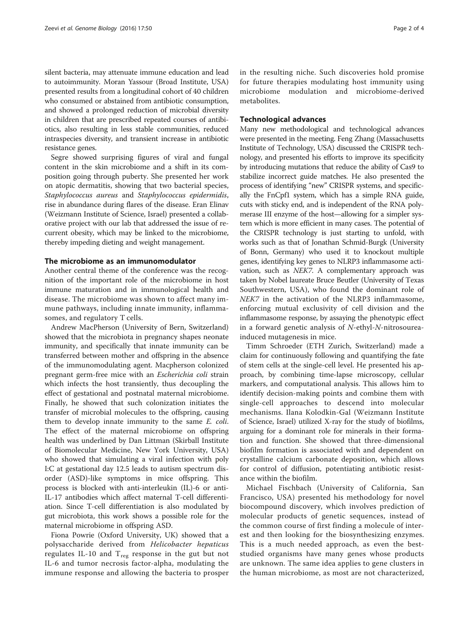silent bacteria, may attenuate immune education and lead to autoimmunity. Moran Yassour (Broad Institute, USA) presented results from a longitudinal cohort of 40 children who consumed or abstained from antibiotic consumption, and showed a prolonged reduction of microbial diversity in children that are prescribed repeated courses of antibiotics, also resulting in less stable communities, reduced intraspecies diversity, and transient increase in antibiotic resistance genes.

Segre showed surprising figures of viral and fungal content in the skin microbiome and a shift in its composition going through puberty. She presented her work on atopic dermatitis, showing that two bacterial species, Staphylococcus aureus and Staphylococcus epidermidis, rise in abundance during flares of the disease. Eran Elinav (Weizmann Institute of Science, Israel) presented a collaborative project with our lab that addressed the issue of recurrent obesity, which may be linked to the microbiome, thereby impeding dieting and weight management.

### The microbiome as an immunomodulator

Another central theme of the conference was the recognition of the important role of the microbiome in host immune maturation and in immunological health and disease. The microbiome was shown to affect many immune pathways, including innate immunity, inflammasomes, and regulatory T cells.

Andrew MacPherson (University of Bern, Switzerland) showed that the microbiota in pregnancy shapes neonate immunity, and specifically that innate immunity can be transferred between mother and offspring in the absence of the immunomodulating agent. Macpherson colonized pregnant germ-free mice with an Escherichia coli strain which infects the host transiently, thus decoupling the effect of gestational and postnatal maternal microbiome. Finally, he showed that such colonization initiates the transfer of microbial molecules to the offspring, causing them to develop innate immunity to the same E. coli. The effect of the maternal microbiome on offspring health was underlined by Dan Littman (Skirball Institute of Biomolecular Medicine, New York University, USA) who showed that simulating a viral infection with poly I:C at gestational day 12.5 leads to autism spectrum disorder (ASD)-like symptoms in mice offspring. This process is blocked with anti-interleukin (IL)-6 or anti-IL-17 antibodies which affect maternal T-cell differentiation. Since T-cell differentiation is also modulated by gut microbiota, this work shows a possible role for the maternal microbiome in offspring ASD.

Fiona Powrie (Oxford University, UK) showed that a polysaccharide derived from Helicobacter hepaticus regulates IL-10 and  $T_{reg}$  response in the gut but not IL-6 and tumor necrosis factor-alpha, modulating the immune response and allowing the bacteria to prosper in the resulting niche. Such discoveries hold promise for future therapies modulating host immunity using microbiome modulation and microbiome-derived metabolites.

### Technological advances

Many new methodological and technological advances were presented in the meeting. Feng Zhang (Massachusetts Institute of Technology, USA) discussed the CRISPR technology, and presented his efforts to improve its specificity by introducing mutations that reduce the ability of Cas9 to stabilize incorrect guide matches. He also presented the process of identifying "new" CRISPR systems, and specifically the FnCpf1 system, which has a simple RNA guide, cuts with sticky end, and is independent of the RNA polymerase III enzyme of the host—allowing for a simpler system which is more efficient in many cases. The potential of the CRISPR technology is just starting to unfold, with works such as that of Jonathan Schmid-Burgk (University of Bonn, Germany) who used it to knockout multiple genes, identifying key genes to NLRP3 inflammasome activation, such as NEK7. A complementary approach was taken by Nobel laureate Bruce Beutler (University of Texas Southwestern, USA), who found the dominant role of NEK7 in the activation of the NLRP3 inflammasome, enforcing mutual exclusivity of cell division and the inflammasome response, by assaying the phenotypic effect in a forward genetic analysis of N-ethyl-N-nitrosoureainduced mutagenesis in mice.

Timm Schroeder (ETH Zurich, Switzerland) made a claim for continuously following and quantifying the fate of stem cells at the single-cell level. He presented his approach, by combining time-lapse microscopy, cellular markers, and computational analysis. This allows him to identify decision-making points and combine them with single-cell approaches to descend into molecular mechanisms. Ilana Kolodkin-Gal (Weizmann Institute of Science, Israel) utilized X-ray for the study of biofilms, arguing for a dominant role for minerals in their formation and function. She showed that three-dimensional biofilm formation is associated with and dependent on crystalline calcium carbonate deposition, which allows for control of diffusion, potentiating antibiotic resistance within the biofilm.

Michael Fischbach (University of California, San Francisco, USA) presented his methodology for novel biocompound discovery, which involves prediction of molecular products of genetic sequences, instead of the common course of first finding a molecule of interest and then looking for the biosynthesizing enzymes. This is a much needed approach, as even the beststudied organisms have many genes whose products are unknown. The same idea applies to gene clusters in the human microbiome, as most are not characterized,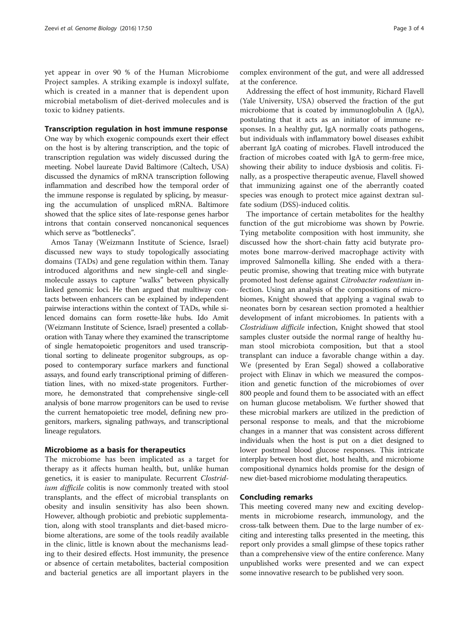yet appear in over 90 % of the Human Microbiome Project samples. A striking example is indoxyl sulfate, which is created in a manner that is dependent upon microbial metabolism of diet-derived molecules and is toxic to kidney patients.

#### Transcription regulation in host immune response

One way by which exogenic compounds exert their effect on the host is by altering transcription, and the topic of transcription regulation was widely discussed during the meeting. Nobel laureate David Baltimore (Caltech, USA) discussed the dynamics of mRNA transcription following inflammation and described how the temporal order of the immune response is regulated by splicing, by measuring the accumulation of unspliced mRNA. Baltimore showed that the splice sites of late-response genes harbor introns that contain conserved noncanonical sequences which serve as "bottlenecks".

Amos Tanay (Weizmann Institute of Science, Israel) discussed new ways to study topologically associating domains (TADs) and gene regulation within them. Tanay introduced algorithms and new single-cell and singlemolecule assays to capture "walks" between physically linked genomic loci. He then argued that multiway contacts between enhancers can be explained by independent pairwise interactions within the context of TADs, while silenced domains can form rosette-like hubs. Ido Amit (Weizmann Institute of Science, Israel) presented a collaboration with Tanay where they examined the transcriptome of single hematopoietic progenitors and used transcriptional sorting to delineate progenitor subgroups, as opposed to contemporary surface markers and functional assays, and found early transcriptional priming of differentiation lines, with no mixed-state progenitors. Furthermore, he demonstrated that comprehensive single-cell analysis of bone marrow progenitors can be used to revise the current hematopoietic tree model, defining new progenitors, markers, signaling pathways, and transcriptional lineage regulators.

#### Microbiome as a basis for therapeutics

The microbiome has been implicated as a target for therapy as it affects human health, but, unlike human genetics, it is easier to manipulate. Recurrent Clostridium difficile colitis is now commonly treated with stool transplants, and the effect of microbial transplants on obesity and insulin sensitivity has also been shown. However, although probiotic and prebiotic supplementation, along with stool transplants and diet-based microbiome alterations, are some of the tools readily available in the clinic, little is known about the mechanisms leading to their desired effects. Host immunity, the presence or absence of certain metabolites, bacterial composition and bacterial genetics are all important players in the

complex environment of the gut, and were all addressed at the conference.

Addressing the effect of host immunity, Richard Flavell (Yale University, USA) observed the fraction of the gut microbiome that is coated by immunoglobulin A (IgA), postulating that it acts as an initiator of immune responses. In a healthy gut, IgA normally coats pathogens, but individuals with inflammatory bowel diseases exhibit aberrant IgA coating of microbes. Flavell introduced the fraction of microbes coated with IgA to germ-free mice, showing their ability to induce dysbiosis and colitis. Finally, as a prospective therapeutic avenue, Flavell showed that immunizing against one of the aberrantly coated species was enough to protect mice against dextran sulfate sodium (DSS)-induced colitis.

The importance of certain metabolites for the healthy function of the gut microbiome was shown by Powrie. Tying metabolite composition with host immunity, she discussed how the short-chain fatty acid butyrate promotes bone marrow-derived macrophage activity with improved Salmonella killing. She ended with a therapeutic promise, showing that treating mice with butyrate promoted host defense against Citrobacter rodentium infection. Using an analysis of the compositions of microbiomes, Knight showed that applying a vaginal swab to neonates born by cesarean section promoted a healthier development of infant microbiomes. In patients with a Clostridium difficile infection, Knight showed that stool samples cluster outside the normal range of healthy human stool microbiota composition, but that a stool transplant can induce a favorable change within a day. We (presented by Eran Segal) showed a collaborative project with Elinav in which we measured the composition and genetic function of the microbiomes of over 800 people and found them to be associated with an effect on human glucose metabolism. We further showed that these microbial markers are utilized in the prediction of personal response to meals, and that the microbiome changes in a manner that was consistent across different individuals when the host is put on a diet designed to lower postmeal blood glucose responses. This intricate interplay between host diet, host health, and microbiome compositional dynamics holds promise for the design of new diet-based microbiome modulating therapeutics.

#### Concluding remarks

This meeting covered many new and exciting developments in microbiome research, immunology, and the cross-talk between them. Due to the large number of exciting and interesting talks presented in the meeting, this report only provides a small glimpse of these topics rather than a comprehensive view of the entire conference. Many unpublished works were presented and we can expect some innovative research to be published very soon.